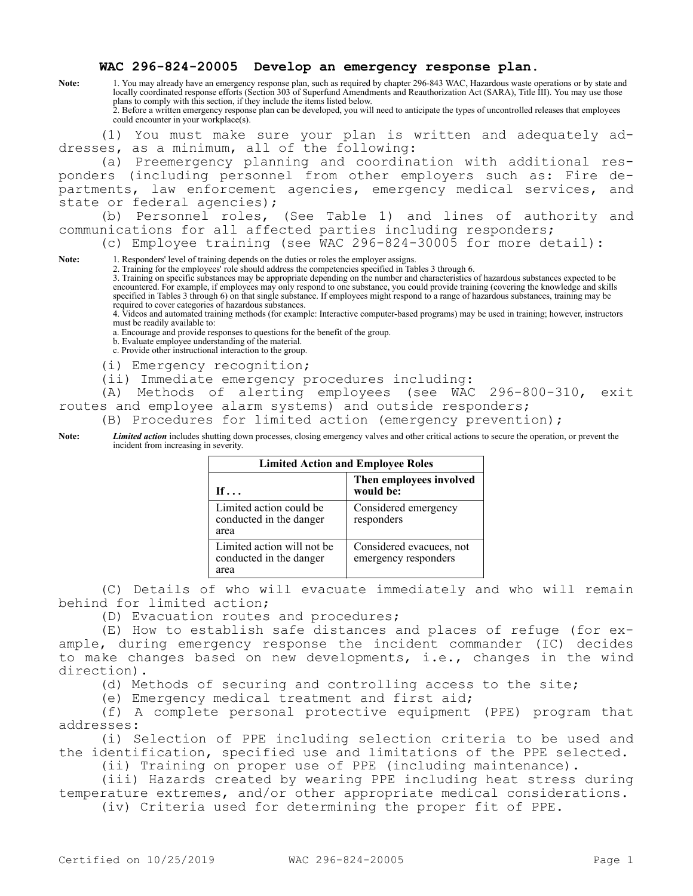## **WAC 296-824-20005 Develop an emergency response plan.**

**Note:** 1. You may already have an emergency response plan, such as required by chapter 296-843 WAC, Hazardous waste operations or by state and locally coordinated response efforts (Section 303 of Superfund Amendments and Reauthorization Act (SARA), Title III). You may use those plans to comply with this section, if they include the items listed below. 2. Before a written emergency response plan can be developed, you will need to anticipate the types of uncontrolled releases that employees could encounter in your workplace(s).

(1) You must make sure your plan is written and adequately addresses, as a minimum, all of the following:

(a) Preemergency planning and coordination with additional responders (including personnel from other employers such as: Fire departments, law enforcement agencies, emergency medical services, and state or federal agencies);

(b) Personnel roles, (See Table 1) and lines of authority and communications for all affected parties including responders;

(c) Employee training (see WAC 296-824-30005 for more detail):

Note: 1. Responders' level of training depends on the duties or roles the employer assigns.

2. Training for the employees' role should address the competencies specified in Tables 3 through 6.

3. Training on specific substances may be appropriate depending on the number and characteristics of hazardous substances expected to be encountered. For example, if employees may only respond to one substance, you could provide training (covering the knowledge and skills specified in Tables 3 through 6) on that single substance. If employees might respond to a range of hazardous substances, training may be required to cover categories of hazardous substances.

4. Videos and automated training methods (for example: Interactive computer-based programs) may be used in training; however, instructors must be readily available to:

a. Encourage and provide responses to questions for the benefit of the group.

b. Evaluate employee understanding of the material.

c. Provide other instructional interaction to the group.

(i) Emergency recognition;

(ii) Immediate emergency procedures including:

(A) Methods of alerting employees (see WAC 296-800-310, exit routes and employee alarm systems) and outside responders;

(B) Procedures for limited action (emergency prevention);

**Note:** *Limited action* includes shutting down processes, closing emergency valves and other critical actions to secure the operation, or prevent the incident from increasing in severity.

| <b>Limited Action and Employee Roles</b>                      |                                                  |
|---------------------------------------------------------------|--------------------------------------------------|
| If $\ldots$                                                   | Then employees involved<br>would be:             |
| Limited action could be<br>conducted in the danger<br>area    | Considered emergency<br>responders               |
| Limited action will not be<br>conducted in the danger<br>area | Considered evacuees, not<br>emergency responders |

(C) Details of who will evacuate immediately and who will remain behind for limited action;

(D) Evacuation routes and procedures;

(E) How to establish safe distances and places of refuge (for example, during emergency response the incident commander (IC) decides to make changes based on new developments, i.e., changes in the wind direction).

(d) Methods of securing and controlling access to the site;

(e) Emergency medical treatment and first aid;

(f) A complete personal protective equipment (PPE) program that addresses:

(i) Selection of PPE including selection criteria to be used and the identification, specified use and limitations of the PPE selected.

(ii) Training on proper use of PPE (including maintenance).

(iii) Hazards created by wearing PPE including heat stress during temperature extremes, and/or other appropriate medical considerations.

(iv) Criteria used for determining the proper fit of PPE.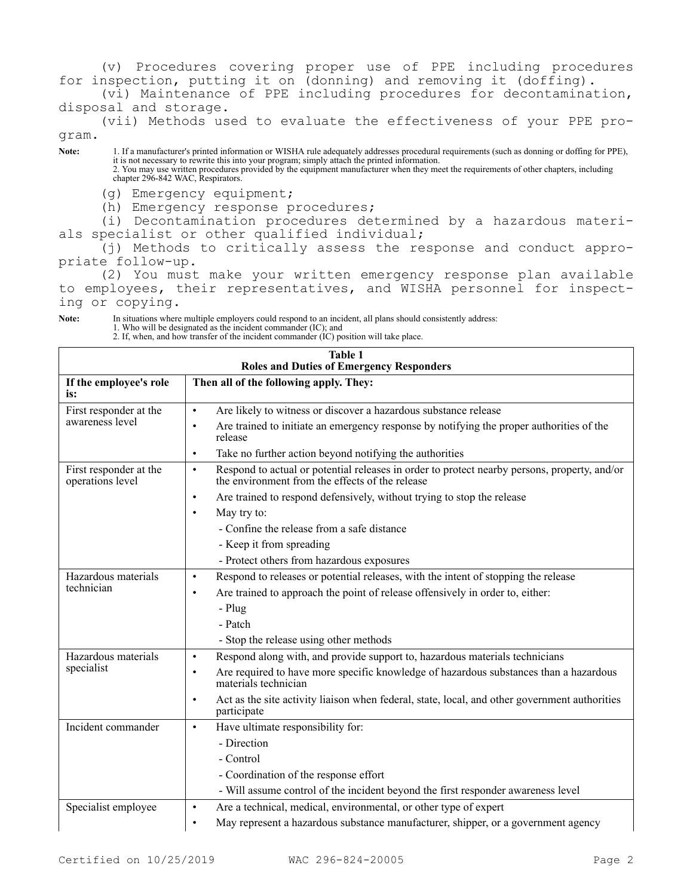(v) Procedures covering proper use of PPE including procedures for inspection, putting it on (donning) and removing it (doffing).

(vi) Maintenance of PPE including procedures for decontamination, disposal and storage.

(vii) Methods used to evaluate the effectiveness of your PPE program.

**Note:** 1. If a manufacturer's printed information or WISHA rule adequately addresses procedural requirements (such as donning or doffing for PPE), it is not necessary to rewrite this into your program; simply attach the printed information. 2. You may use written procedures provided by the equipment manufacturer when they meet the requirements of other chapters, including chapter 296-842 WAC, Respirators.

(g) Emergency equipment;

(h) Emergency response procedures;

(i) Decontamination procedures determined by a hazardous materials specialist or other qualified individual;

(j) Methods to critically assess the response and conduct appropriate follow-up.

(2) You must make your written emergency response plan available to employees, their representatives, and WISHA personnel for inspecting or copying.

**Note:** In situations where multiple employers could respond to an incident, all plans should consistently address:

1. Who will be designated as the incident commander (IC); and

2. If, when, and how transfer of the incident commander (IC) position will take place.

| <b>Table 1</b><br><b>Roles and Duties of Emergency Responders</b> |                                                                                                                                                              |  |
|-------------------------------------------------------------------|--------------------------------------------------------------------------------------------------------------------------------------------------------------|--|
| If the employee's role<br>is:                                     | Then all of the following apply. They:                                                                                                                       |  |
| First responder at the<br>awareness level                         | Are likely to witness or discover a hazardous substance release<br>$\bullet$                                                                                 |  |
|                                                                   | Are trained to initiate an emergency response by notifying the proper authorities of the<br>$\bullet$<br>release                                             |  |
|                                                                   | Take no further action beyond notifying the authorities<br>$\bullet$                                                                                         |  |
| First responder at the<br>operations level                        | Respond to actual or potential releases in order to protect nearby persons, property, and/or<br>$\bullet$<br>the environment from the effects of the release |  |
|                                                                   | Are trained to respond defensively, without trying to stop the release<br>$\bullet$                                                                          |  |
|                                                                   | May try to:<br>$\bullet$                                                                                                                                     |  |
|                                                                   | - Confine the release from a safe distance                                                                                                                   |  |
|                                                                   | - Keep it from spreading                                                                                                                                     |  |
|                                                                   | - Protect others from hazardous exposures                                                                                                                    |  |
| Hazardous materials<br>technician                                 | Respond to releases or potential releases, with the intent of stopping the release<br>$\bullet$                                                              |  |
|                                                                   | Are trained to approach the point of release offensively in order to, either:<br>$\bullet$                                                                   |  |
|                                                                   | - Plug                                                                                                                                                       |  |
|                                                                   | - Patch                                                                                                                                                      |  |
|                                                                   | - Stop the release using other methods                                                                                                                       |  |
| Hazardous materials<br>specialist                                 | Respond along with, and provide support to, hazardous materials technicians<br>$\bullet$                                                                     |  |
|                                                                   | Are required to have more specific knowledge of hazardous substances than a hazardous<br>$\bullet$<br>materials technician                                   |  |
|                                                                   | Act as the site activity liaison when federal, state, local, and other government authorities<br>$\bullet$<br>participate                                    |  |
| Incident commander                                                | Have ultimate responsibility for:<br>$\bullet$                                                                                                               |  |
|                                                                   | - Direction                                                                                                                                                  |  |
|                                                                   | - Control                                                                                                                                                    |  |
|                                                                   | - Coordination of the response effort                                                                                                                        |  |
|                                                                   | - Will assume control of the incident beyond the first responder awareness level                                                                             |  |
| Specialist employee                                               | Are a technical, medical, environmental, or other type of expert<br>$\bullet$                                                                                |  |
|                                                                   | May represent a hazardous substance manufacturer, shipper, or a government agency<br>$\bullet$                                                               |  |